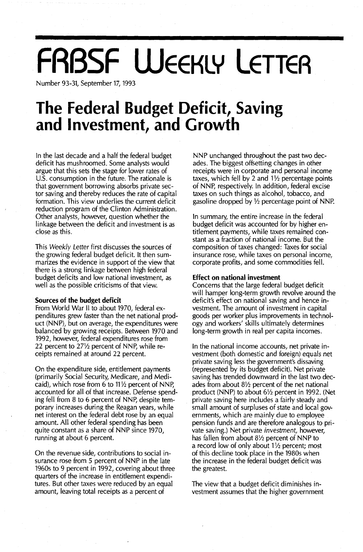# **FRBSF WEEKLY LETTER**

Number 93-31, September 17, 1993

## **The Federal Budget Deficit, Saving and Investment, and Growth**

In the last decade and a half the federal budget deficit has mushroomed. Some analysts would argue that this sets the stage for lower rates of U.S. consumption in the future. The rationale is that government borrowing absorbs private sector saving and thereby reduces the rate of capital formation. This view underlies the current deficit reduction program of the Clinton Administration. Other analysts, however, question whether the linkage between the deficit and investment is as close as this.

This *Weekly Letter* first discusses the sources of the growing federal budget deficit. It then summarizes the evidence in support of the view that there is a strong linkage between high federal budget deficits and low national investment, as well as the possible criticisms of that view.

#### **Sources of the budget deficit**

From World War II to about 1970, federal expenditures grew faster than the net national product (NNP), but on average, the expenditures were balanced by growing receipts. Between 1970 and 1992, however, federal expenditures rose from 22 percent to  $27\frac{1}{2}$  percent of NNP, while receipts remained at around 22 percent.

On the expenditure side, entitlement payments (primarily Social Security, Medicare, and Medicaid), which rose from 6 to  $11\frac{1}{2}$  percent of NNP, accounted for all of that increase. Defense spending fell from 8 to 6 percent of NNp, despite temporary increases during the Reagan years, while net interest on the federal debt rose by an equal amount. All other federal spending has been quite constant as a share of NNP since 1970, running at about 6 percent.

On the revenue side, contributions to social insurance rose from 5 percent of NNP in the late 1960s to 9 percent in 1992, covering about three quarters of the increase in entitlement expenditures. But other taxes were reduced by an equal amount, leaving total receipts as a percent of

NNP unchanged throughout the past two decades. The biggest offsetting changes in other receipts were in corporate and personal income taxes, which fell by 2 and 1*Yz* percentage points of NNp, respectively. In addition, federal excise taxes on such things as alcohol, tobacco, and gasoline dropped by  $1/2$  percentage point of NNP.

In summary, the entire increase in the federal budget deficit was accounted for by higher entitlement payments, while taxes remained constant as a fraction of national income. But the composition of taxes changed: Taxes for social insurance rose, while taxes on personal income, corporate profits, and some commodities fell.

#### **Effect on national investment**

Concerns that the large federal budget deficit will hamper long-term growth revolve around the deficit's effect on national saving and hence investment. The amount of investment in capital goods per worker plus improvements in technology and workers' skills ultimately determines long-term growth in real per capita incomes.

In the national income accounts, net private investment (both domestic and foreign) equals net private saving less the government's dissaving (represented by its budget deficit). Net private saving has trended downward in the last two decades from about  $8\frac{1}{2}$  percent of the net national product (NNP) to about  $6\frac{1}{2}$  percent in 1992. (Net private saving here includes a fairly steady and small amount of surpluses of state and local governments, which are mainly due to employee pension funds and are therefore analogous to private saving.) Net private *investment,* however, has fallen from about *8Yz* percent of NNP to a record low of only about  $1\frac{1}{2}$  percent; most of this decline took place in the 1980s when the increase in the federal budget deficit was the greatest.

The view that a budget deficit diminishes investment assumes that the higher government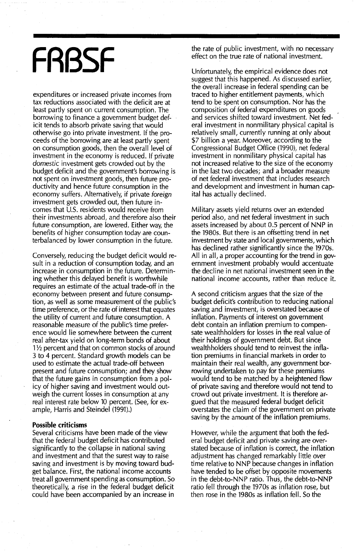## **FRBSF**

expenditures or increased private incomes from tax reductions associated with the deficit are at least partly spent on current consumption. The borrowing to finance a government budget deficit tends to absorb private saving that would otherwise go into private investment. If the proceeds of the borrowing are at least partly spent on consumption goods, then the overall level of investment in the economy is reduced. If private domestic investment gets crowded out by the budget deficit and the government's borrowing is not spent on investment goods, then future productivityand hence future consumption in the economy suffers. Alternatively, if private foreign investment gets crowded out, then future incomes that U.S. residents would receive from their investments abroad, and therefore also their future consumption, are lowered. Either way, the benefits of higher consumption today are counterbalanced by lower consumption in the future.

Conversely, reducing the budget deficit would result in a reduction of consumption today, and an increase in consumption in the future. Determining whether this delayed benefit is worthwhile requires an estimate of the actual trade-off in the economy between present and future consumption, as well as some measurement of the public's time preference, or the rate of interest that equates the utility of current and future consumption. A reasonable measure of the public's time preference would lie somewhere between the current real after-tax yield on long-term bonds of about  $1\frac{1}{2}$  percent and that on common stocks of around 3 to 4 percent. Standard growth models can be used to estimate the actual trade-off between present and future consumption; and they show that the future gains in consumption from a policy of higher saving and investment would outweigh the current losses in consumption at any real interest rate below 10 percent. (See, for example, Harris and Steindel (1991).)

#### **Possible criticisms**

Several criticisms have been made of the view that the federal budget deficit has contributed significantly to the collapse in national saving and investment and that the surest way to raise saving and investment is by moving toward budget balance. First, the national income accounts treat all government spending as consumption. So theoretically, a rise in the federal budget deficit could have been accompanied by an increase in

the rate of public investment, with no necessary effect on the true rate of national investment.

Unfortunately, the empirical evidence does not suggest that this happened. As discussed earlier, the overall increase in federal spending can be traced to higher entitlement payments, which tend to be spent on consumption. Nor has the composition of federal expenditures on goods and services shifted toward investment. Net federal investment in nonmilitary physical capital is relatively small, currently running at only about \$7 billion a year. Moreover, according to the Congressional Budget Office (1990), net federal investment in nonmilitary physical capital has not increased relative to the size of the economy in the last two decades; and a broader measure of net federal investment that includes research and development and investment in human capital has actually declined.

Military assets yield returns over an extended period also, and net federal investment in such assets increased by about 0.5 percent of NNP in the 1980s. But there is an offsetting trend in net investment by state and local governments, which has declined rather significantly since the 1970s. All in all, a proper accounting for the trend in government investment probably would accentuate the decline in net national investment seen in the national income' accounts, rather than reduce it.

A second criticism argues that the size of the budget deficit's contribution to reducing national saving and investment, is overstated because of inflation. Payments of interest on government debt contain an inflation premium to compensate wealthholders for losses in the real value of their holdings of government debt. But since wealthholders should tend to reinvest the inflation premiums in financial markets in order to maintain their real wealth, any government borrowing undertaken to pay for these premiums would tend to be matched by a heightened flow of private saving and therefore would not tend to crowd out private investment. It is therefore argued that the measured federal budget deficit overstates the claim of the government on private saving by the amount of the inflation premiums.

However, while the argument that both the federal budget deficit and private saving are overstated because of inflation is correct, the inflation adjustment has changed remarkably little over time relative to NNP because changes in inflation have tended to be offset by opposite movements in the debt-to-NNP ratio. Thus, the debt-to-NNP ratio fell through the 1970s as inflation rose, but then rose in the 1980s as inflation fell. So the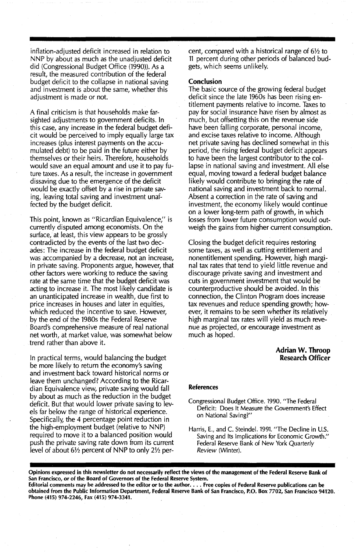inflation-adjusted deficit increased in relation to NNP by about as much as the unadjusted deficit did (Congressional Budget Office (1990)). As a result, the measured contribution of the federal budget deficit to the collapse in national saving and investment is about the same, whether this adjustment is made or not.

A final criticism is that households make farsighted adjustments to government deficits. In this case, any increase in the federal budget deficit would be perceived to imply equally large tax increases (plus interest payments on the accumulated debt) to be paid in the future either by themselves or their heirs. Therefore, households would save an equal amount and use it to pay future taxes. As a result, the increase in government dissaving due to the emergence of the deficit would be exactly offset by a rise in private saving, leaving total saving and investment unaffected by the budget deficit.

This point, known as "Ricardian Equivalence;' is currently disputed among economists. On the surface, at least, this view appears to be grossly contradicted by the events of the last two decades: The increase in the federal budget deficit was accompanied by a decrease, not an increase, in private saving. Proponents argue, however, that other factors were working to reduce the saving rate at the same time that the budget deficit was acting to increase it. The most likely candidate is an unanticipated increase in wealth, due first to price increases in houses and later in equities, which reduced the incentive to save. However, by the end of the 1980s the Federal Reserve Board's comprehensive measure of real national net worth, at market value, was somewhat below trend rather than above it.

In practical terms, would balancing the budget be more likely to return the economy's saving and investment back toward historical norms or leave them unchanged? According to the Ricardian Equivalence view, private saving would fall by about as much as the reduction in the budget deficit. But that would lower private saving to levels far below the range of historical experience. Specifically, the 4 percentage point reduction in the high-employment budget (relative to NNP) required to move it to a balanced position would push the private saving rate down from its current level of about *6Y2* percent of NNP to only *2Y2* per-

cent, compared with a historical range of 6% to <sup>11</sup> percent during other periods of balanced budgets, which seems unlikely.

#### Conclusion

The basic source of the growing federal budget deficit since the late 1960s has been rising entitlement payments relative to income. Taxes to pay for social insurance have risen by almost as much, but offsetting this on the revenue side have been falling corporate, personal income, and excise taxes relative to income. Although net private saving has declined somewhat in this period, the rising federal budget deficit appears to have been the largest contributor to the collapse in national saving and investment. All else equal, moving toward a federal budget balance likely would contribute to bringing the rate of national saving and investment back to normal. Absent a correction in the rate of saving and investment, the economy likely would continue on a lower long-term path of growth, in which losses from lower future consumption would outweigh the gains from higher current consumption.

Closing the budget deficit requires restoring some taxes, as well as cutting entitlement and nonentitlement spending. However, high marginal tax rates that tend to yield little revenue and discourage private saving and investment and cuts in government investment that would be counterproductive should be avoided. In this connection, the Clinton Program does increase tax revenues and reduce spending growth; however, it remains to be seen whether its relatively high marginal tax rates will yield as much revenue as projected, or encourage investment as much as hoped.

#### Adrian W. ThrooD Research Officer

#### References

- Congressional Budget Office. 1990. "The Federal Deficit: Does It Measure the *Government's* Effect on National Saving?"
- Harris, E., and C. Steindel. 1991. "The Decline in U.S. Saving and Its Implications for Economic Growth." Federal Reserve Bank of New York Quarterly *Review* (Winter).

Opinions expressed in this newsletter do not necessarily reflect the views of the management of the Federal Reserve Bank of San Francisco, or of the Board of Governors of the Federal Reserve System.

Editorial comments may be addressed to the editor or to the author. . . . Free copies of Federal Reserve publications can be obtained from the Public Information Department, Federal Reserve Bank of San Francisco, P.O. Box 7702, San Francisco 94120. Phone (415) 974-2246, Fax (415) 974-3341.